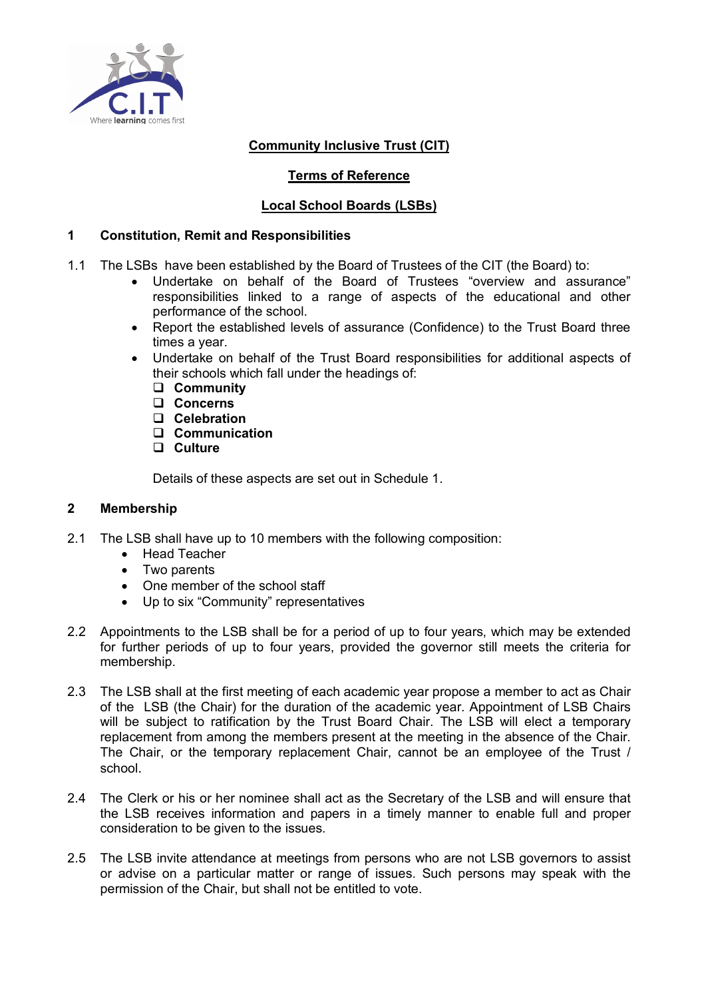

# **Community Inclusive Trust (CIT)**

# **Terms of Reference**

# **Local School Boards (LSBs)**

## **1 Constitution, Remit and Responsibilities**

- 1.1 The LSBs have been established by the Board of Trustees of the CIT (the Board) to:
	- Undertake on behalf of the Board of Trustees "overview and assurance" responsibilities linked to a range of aspects of the educational and other performance of the school.
	- Report the established levels of assurance (Confidence) to the Trust Board three times a year.
	- Undertake on behalf of the Trust Board responsibilities for additional aspects of their schools which fall under the headings of:
		- q **Community**
		- q **Concerns**
		- q **Celebration**
		- q **Communication**
		- q **Culture**

Details of these aspects are set out in Schedule 1.

### **2 Membership**

- 2.1 The LSB shall have up to 10 members with the following composition:
	- Head Teacher
	- Two parents
	- One member of the school staff
	- Up to six "Community" representatives
- 2.2 Appointments to the LSB shall be for a period of up to four years, which may be extended for further periods of up to four years, provided the governor still meets the criteria for membership.
- 2.3 The LSB shall at the first meeting of each academic year propose a member to act as Chair of the LSB (the Chair) for the duration of the academic year. Appointment of LSB Chairs will be subject to ratification by the Trust Board Chair. The LSB will elect a temporary replacement from among the members present at the meeting in the absence of the Chair. The Chair, or the temporary replacement Chair, cannot be an employee of the Trust / school.
- 2.4 The Clerk or his or her nominee shall act as the Secretary of the LSB and will ensure that the LSB receives information and papers in a timely manner to enable full and proper consideration to be given to the issues.
- 2.5 The LSB invite attendance at meetings from persons who are not LSB governors to assist or advise on a particular matter or range of issues. Such persons may speak with the permission of the Chair, but shall not be entitled to vote.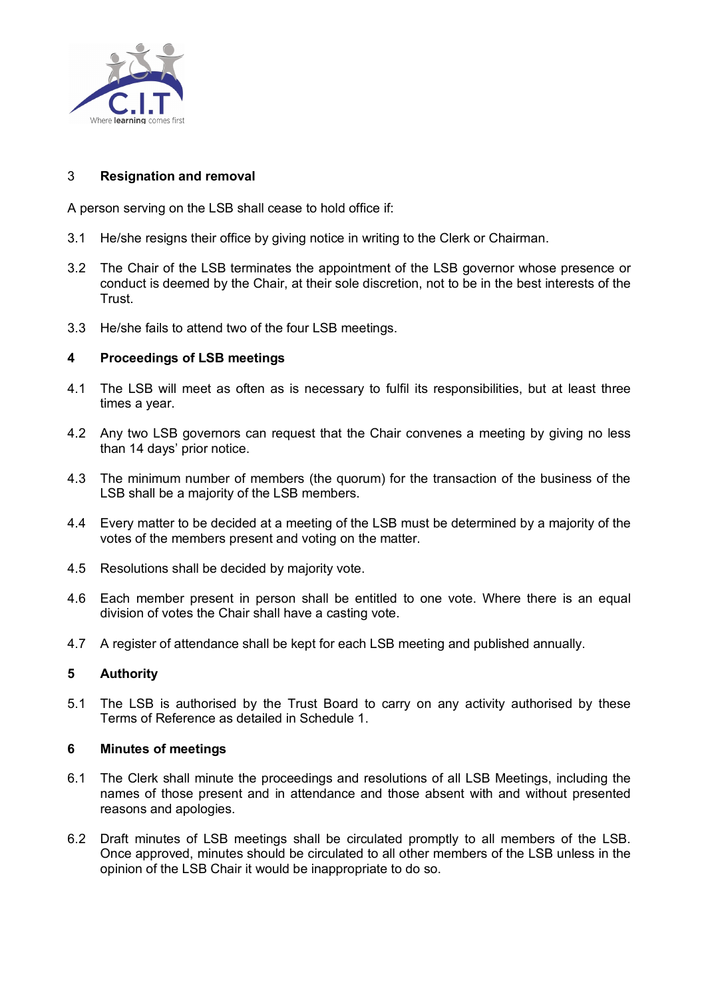

### 3 **Resignation and removal**

A person serving on the LSB shall cease to hold office if:

- 3.1 He/she resigns their office by giving notice in writing to the Clerk or Chairman.
- 3.2 The Chair of the LSB terminates the appointment of the LSB governor whose presence or conduct is deemed by the Chair, at their sole discretion, not to be in the best interests of the Trust.
- 3.3 He/she fails to attend two of the four LSB meetings.

### **4 Proceedings of LSB meetings**

- 4.1 The LSB will meet as often as is necessary to fulfil its responsibilities, but at least three times a year.
- 4.2 Any two LSB governors can request that the Chair convenes a meeting by giving no less than 14 days' prior notice.
- 4.3 The minimum number of members (the quorum) for the transaction of the business of the LSB shall be a majority of the LSB members.
- 4.4 Every matter to be decided at a meeting of the LSB must be determined by a majority of the votes of the members present and voting on the matter.
- 4.5 Resolutions shall be decided by majority vote.
- 4.6 Each member present in person shall be entitled to one vote. Where there is an equal division of votes the Chair shall have a casting vote.
- 4.7 A register of attendance shall be kept for each LSB meeting and published annually.

### **5 Authority**

5.1 The LSB is authorised by the Trust Board to carry on any activity authorised by these Terms of Reference as detailed in Schedule 1.

### **6 Minutes of meetings**

- 6.1 The Clerk shall minute the proceedings and resolutions of all LSB Meetings, including the names of those present and in attendance and those absent with and without presented reasons and apologies.
- 6.2 Draft minutes of LSB meetings shall be circulated promptly to all members of the LSB. Once approved, minutes should be circulated to all other members of the LSB unless in the opinion of the LSB Chair it would be inappropriate to do so.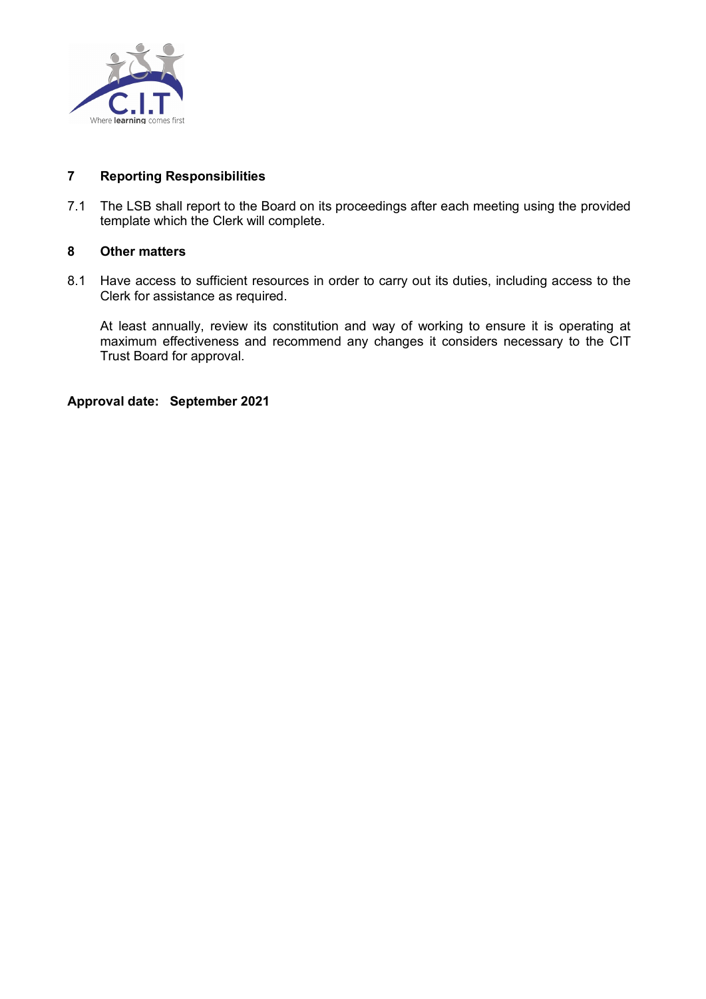

## **7 Reporting Responsibilities**

7.1 The LSB shall report to the Board on its proceedings after each meeting using the provided template which the Clerk will complete.

### **8 Other matters**

8.1 Have access to sufficient resources in order to carry out its duties, including access to the Clerk for assistance as required.

At least annually, review its constitution and way of working to ensure it is operating at maximum effectiveness and recommend any changes it considers necessary to the CIT Trust Board for approval.

**Approval date: September 2021**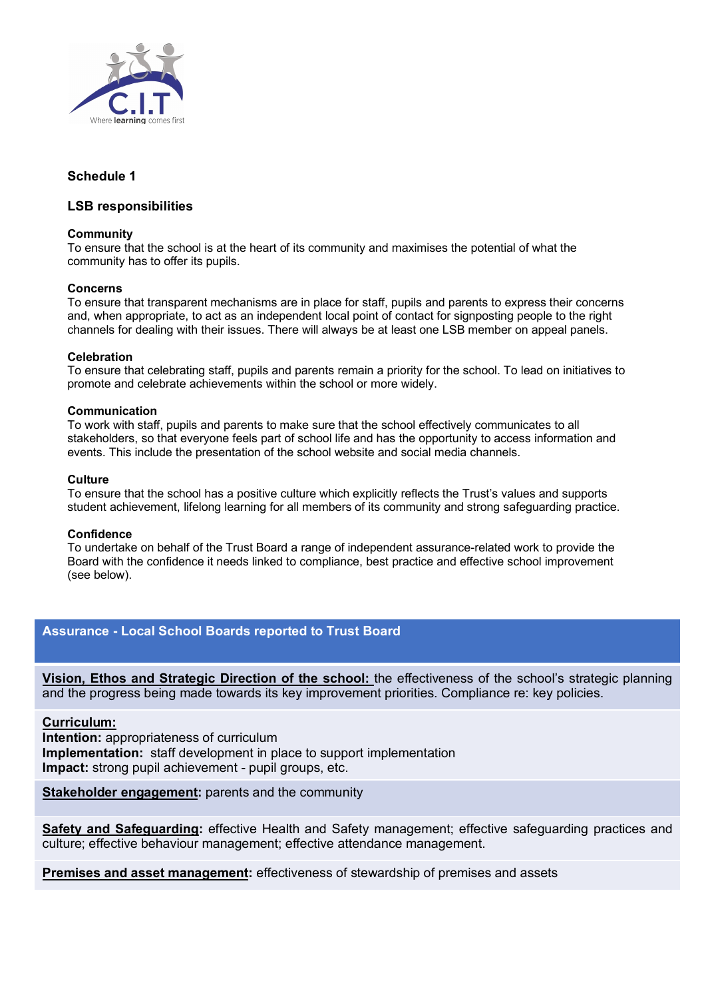

## **Schedule 1**

### **LSB responsibilities**

#### **Community**

To ensure that the school is at the heart of its community and maximises the potential of what the community has to offer its pupils.

#### **Concerns**

To ensure that transparent mechanisms are in place for staff, pupils and parents to express their concerns and, when appropriate, to act as an independent local point of contact for signposting people to the right channels for dealing with their issues. There will always be at least one LSB member on appeal panels.

#### **Celebration**

To ensure that celebrating staff, pupils and parents remain a priority for the school. To lead on initiatives to promote and celebrate achievements within the school or more widely.

#### **Communication**

To work with staff, pupils and parents to make sure that the school effectively communicates to all stakeholders, so that everyone feels part of school life and has the opportunity to access information and events. This include the presentation of the school website and social media channels.

#### **Culture**

To ensure that the school has a positive culture which explicitly reflects the Trust's values and supports student achievement, lifelong learning for all members of its community and strong safeguarding practice.

#### **Confidence**

To undertake on behalf of the Trust Board a range of independent assurance-related work to provide the Board with the confidence it needs linked to compliance, best practice and effective school improvement (see below).

### **Assurance - Local School Boards reported to Trust Board**

**Vision, Ethos and Strategic Direction of the school:** the effectiveness of the school's strategic planning and the progress being made towards its key improvement priorities. Compliance re: key policies.

#### **Curriculum:**

**Intention:** appropriateness of curriculum **Implementation:** staff development in place to support implementation **Impact:** strong pupil achievement - pupil groups, etc.

**Stakeholder engagement:** parents and the community

**Safety and Safeguarding:** effective Health and Safety management; effective safeguarding practices and culture; effective behaviour management; effective attendance management.

**Premises and asset management:** effectiveness of stewardship of premises and assets